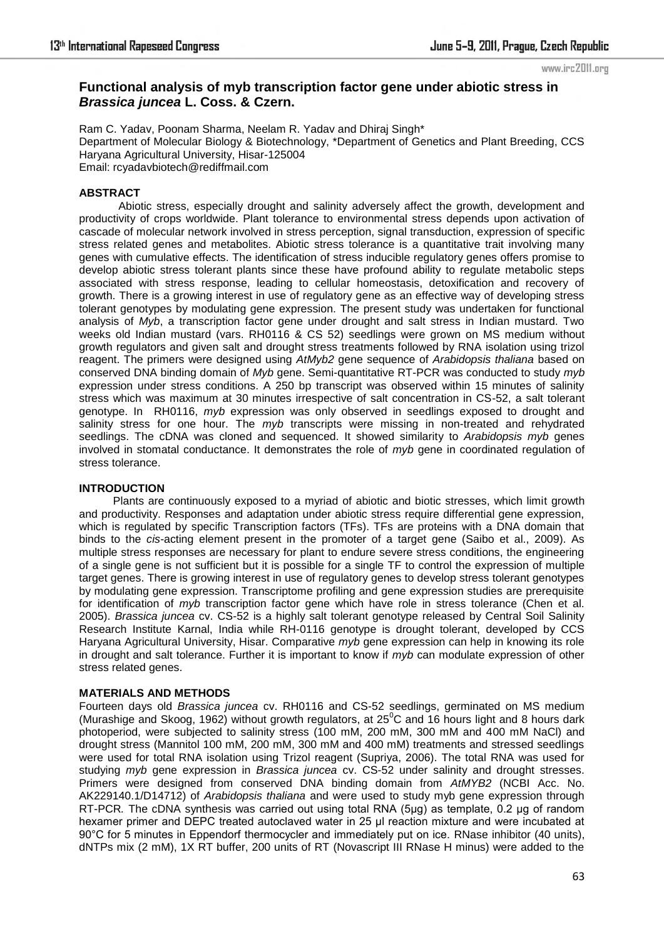www.irc2011.org

# **Functional analysis of myb transcription factor gene under abiotic stress in**  *Brassica juncea* **L. Coss. & Czern.**

Ram C. Yadav, Poonam Sharma, Neelam R. Yadav and Dhiraj Singh\* Department of Molecular Biology & Biotechnology, \*Department of Genetics and Plant Breeding, CCS Haryana Agricultural University, Hisar-125004 Email: rcyadavbiotech@rediffmail.com

# **ABSTRACT**

 Abiotic stress, especially drought and salinity adversely affect the growth, development and productivity of crops worldwide. Plant tolerance to environmental stress depends upon activation of cascade of molecular network involved in stress perception, signal transduction, expression of specific stress related genes and metabolites. Abiotic stress tolerance is a quantitative trait involving many genes with cumulative effects. The identification of stress inducible regulatory genes offers promise to develop abiotic stress tolerant plants since these have profound ability to regulate metabolic steps associated with stress response, leading to cellular homeostasis, detoxification and recovery of growth. There is a growing interest in use of regulatory gene as an effective way of developing stress tolerant genotypes by modulating gene expression. The present study was undertaken for functional analysis of *Myb*, a transcription factor gene under drought and salt stress in Indian mustard. Two weeks old Indian mustard (vars. RH0116 & CS 52) seedlings were grown on MS medium without growth regulators and given salt and drought stress treatments followed by RNA isolation using trizol reagent. The primers were designed using *AtMyb2* gene sequence of *Arabidopsis thaliana* based on conserved DNA binding domain of *Myb* gene. Semi-quantitative RT-PCR was conducted to study *myb* expression under stress conditions. A 250 bp transcript was observed within 15 minutes of salinity stress which was maximum at 30 minutes irrespective of salt concentration in CS-52, a salt tolerant genotype. In RH0116, *myb* expression was only observed in seedlings exposed to drought and salinity stress for one hour. The *myb* transcripts were missing in non-treated and rehydrated seedlings. The cDNA was cloned and sequenced. It showed similarity to *Arabidopsis myb* genes involved in stomatal conductance. It demonstrates the role of *myb* gene in coordinated regulation of stress tolerance.

## **INTRODUCTION**

 Plants are continuously exposed to a myriad of abiotic and biotic stresses, which limit growth and productivity. Responses and adaptation under abiotic stress require differential gene expression, which is regulated by specific Transcription factors (TFs). TFs are proteins with a DNA domain that binds to the *cis-*acting element present in the promoter of a target gene (Saibo et al., 2009). As multiple stress responses are necessary for plant to endure severe stress conditions, the engineering of a single gene is not sufficient but it is possible for a single TF to control the expression of multiple target genes. There is growing interest in use of regulatory genes to develop stress tolerant genotypes by modulating gene expression. Transcriptome profiling and gene expression studies are prerequisite for identification of *myb* transcription factor gene which have role in stress tolerance (Chen et al. 2005). *Brassica juncea* cv. CS-52 is a highly salt tolerant genotype released by Central Soil Salinity Research Institute Karnal, India while RH-0116 genotype is drought tolerant, developed by CCS Haryana Agricultural University, Hisar. Comparative *myb* gene expression can help in knowing its role in drought and salt tolerance. Further it is important to know if *myb* can modulate expression of other stress related genes.

# **MATERIALS AND METHODS**

Fourteen days old *Brassica juncea* cv. RH0116 and CS-52 seedlings, germinated on MS medium (Murashige and Skoog, 1962) without growth regulators, at  $25^{\circ}$ C and 16 hours light and 8 hours dark photoperiod, were subjected to salinity stress (100 mM, 200 mM, 300 mM and 400 mM NaCl) and drought stress (Mannitol 100 mM, 200 mM, 300 mM and 400 mM) treatments and stressed seedlings were used for total RNA isolation using Trizol reagent (Supriya, 2006). The total RNA was used for studying *myb* gene expression in *Brassica juncea* cv. CS-52 under salinity and drought stresses. Primers were designed from conserved DNA binding domain from *AtMYB2* (NCBI Acc. No. AK229140.1/D14712) of *Arabidopsis thaliana* and were used to study myb gene expression through RT-PCR*.* The cDNA synthesis was carried out using total RNA (5µg) as template, 0.2 µg of random hexamer primer and DEPC treated autoclaved water in 25 µl reaction mixture and were incubated at 90°C for 5 minutes in Eppendorf thermocycler and immediately put on ice. RNase inhibitor (40 units), dNTPs mix (2 mM), 1X RT buffer, 200 units of RT (Novascript III RNase H minus) were added to the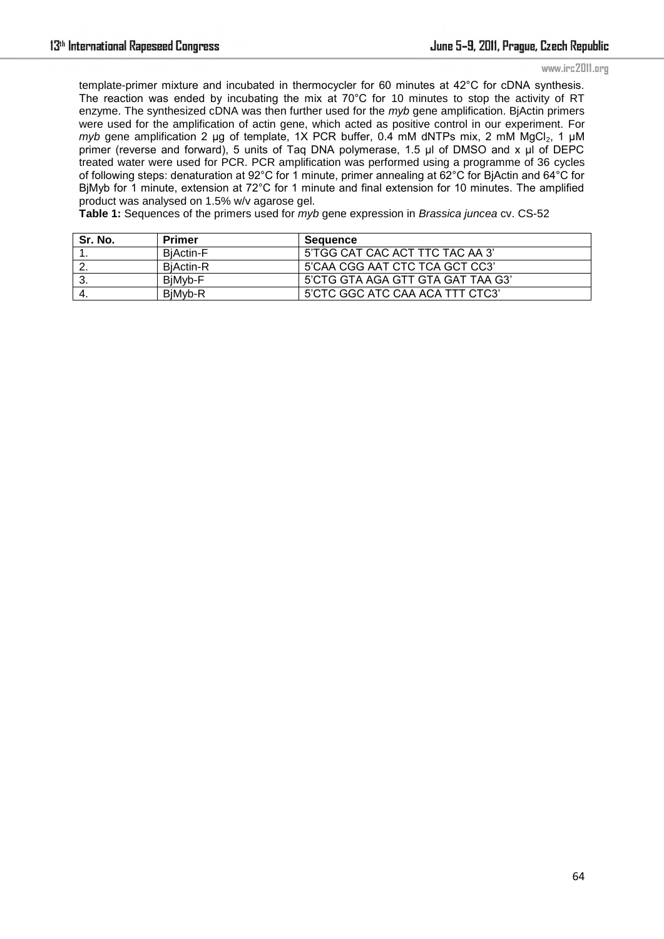#### www.irc2011.org

template-primer mixture and incubated in thermocycler for 60 minutes at 42°C for cDNA synthesis. The reaction was ended by incubating the mix at 70°C for 10 minutes to stop the activity of RT enzyme. The synthesized cDNA was then further used for the *myb* gene amplification. BjActin primers were used for the amplification of actin gene, which acted as positive control in our experiment. For *myb* gene amplification 2 µg of template, 1X PCR buffer, 0.4 mM dNTPs mix, 2 mM  $MgCl<sub>2</sub>$ , 1 µM primer (reverse and forward), 5 units of Taq DNA polymerase, 1.5 µl of DMSO and x µl of DEPC treated water were used for PCR. PCR amplification was performed using a programme of 36 cycles of following steps: denaturation at 92°C for 1 minute, primer annealing at 62°C for BjActin and 64°C for BjMyb for 1 minute, extension at 72°C for 1 minute and final extension for 10 minutes. The amplified product was analysed on 1.5% w/v agarose gel.

**Table 1:** Sequences of the primers used for *myb* gene expression in *Brassica juncea* cv. CS-52

| Sr. No. | Primer           | Sequence                          |
|---------|------------------|-----------------------------------|
|         | <b>BiActin-F</b> | 5'TGG CAT CAC ACT TTC TAC AA 3'   |
| ' 2.    | <b>BiActin-R</b> | 5'CAA CGG AAT CTC TCA GCT CC3'    |
| - 3.    | BiMvb-F          | 5'CTG GTA AGA GTT GTA GAT TAA G3' |
| 4.      | BiMvb-R          | 5'CTC GGC ATC CAA ACA TTT CTC3'   |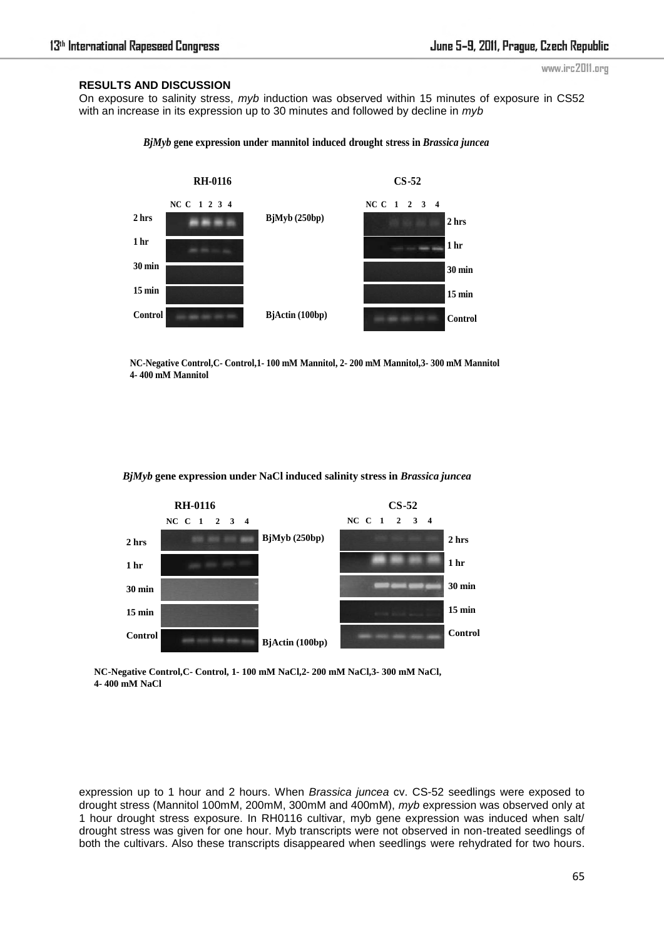# **RESULTS AND DISCUSSION**

www.irc2011.org

On exposure to salinity stress, *myb* induction was observed within 15 minutes of exposure in CS52 with an increase in its expression up to 30 minutes and followed by decline in *myb*

## *BjMyb* **gene expression under mannitol induced drought stress in** *Brassica juncea*



**NC-Negative Control,C- Control,1- 100 mM Mannitol, 2- 200 mM Mannitol,3- 300 mM Mannitol 4- 400 mM Mannitol**

*BjMyb* **gene expression under NaCl induced salinity stress in** *Brassica juncea* 



**NC-Negative Control,C- Control, 1- 100 mM NaCl,2- 200 mM NaCl,3- 300 mM NaCl, 4- 400 mM NaCl**

expression up to 1 hour and 2 hours. When *Brassica juncea* cv. CS-52 seedlings were exposed to drought stress (Mannitol 100mM, 200mM, 300mM and 400mM), *myb* expression was observed only at 1 hour drought stress exposure. In RH0116 cultivar, myb gene expression was induced when salt/ drought stress was given for one hour. Myb transcripts were not observed in non-treated seedlings of both the cultivars. Also these transcripts disappeared when seedlings were rehydrated for two hours.